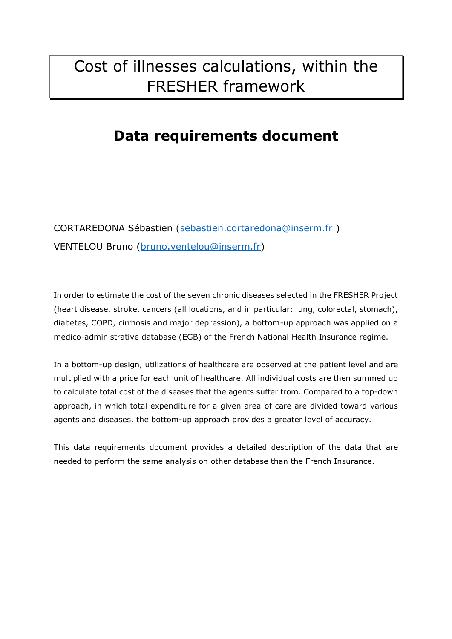# Cost of illnesses calculations, within the FRESHER framework

# **Data requirements document**

CORTAREDONA Sébastien [\(sebastien.cortaredona@inserm.fr](mailto:sebastien.cortaredona@inserm.fr) ) VENTELOU Bruno [\(bruno.ventelou@inserm.fr\)](mailto:bruno.ventelou@inserm.fr)

In order to estimate the cost of the seven chronic diseases selected in the FRESHER Project (heart disease, stroke, cancers (all locations, and in particular: lung, colorectal, stomach), diabetes, COPD, cirrhosis and major depression), a bottom-up approach was applied on a medico-administrative database (EGB) of the French National Health Insurance regime.

In a bottom-up design, utilizations of healthcare are observed at the patient level and are multiplied with a price for each unit of healthcare. All individual costs are then summed up to calculate total cost of the diseases that the agents suffer from. Compared to a top-down approach, in which total expenditure for a given area of care are divided toward various agents and diseases, the bottom-up approach provides a greater level of accuracy.

This data requirements document provides a detailed description of the data that are needed to perform the same analysis on other database than the French Insurance.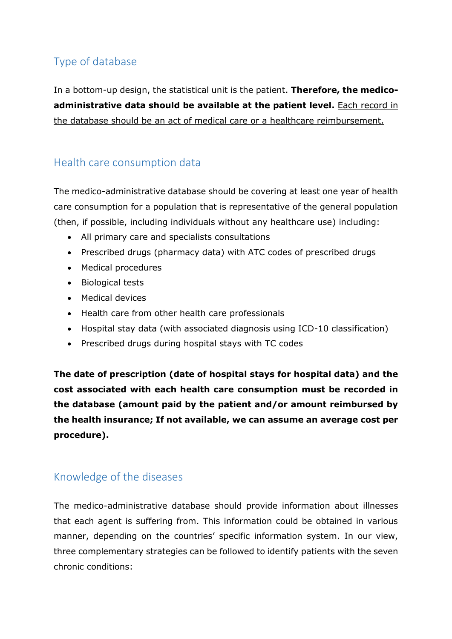## Type of database

In a bottom-up design, the statistical unit is the patient. **Therefore, the medicoadministrative data should be available at the patient level.** Each record in the database should be an act of medical care or a healthcare reimbursement.

#### Health care consumption data

The medico-administrative database should be covering at least one year of health care consumption for a population that is representative of the general population (then, if possible, including individuals without any healthcare use) including:

- All primary care and specialists consultations
- Prescribed drugs (pharmacy data) with ATC codes of prescribed drugs
- Medical procedures
- Biological tests
- Medical devices
- Health care from other health care professionals
- Hospital stay data (with associated diagnosis using ICD-10 classification)
- Prescribed drugs during hospital stays with TC codes

**The date of prescription (date of hospital stays for hospital data) and the cost associated with each health care consumption must be recorded in the database (amount paid by the patient and/or amount reimbursed by the health insurance; If not available, we can assume an average cost per procedure).**

#### Knowledge of the diseases

The medico-administrative database should provide information about illnesses that each agent is suffering from. This information could be obtained in various manner, depending on the countries' specific information system. In our view, three complementary strategies can be followed to identify patients with the seven chronic conditions: